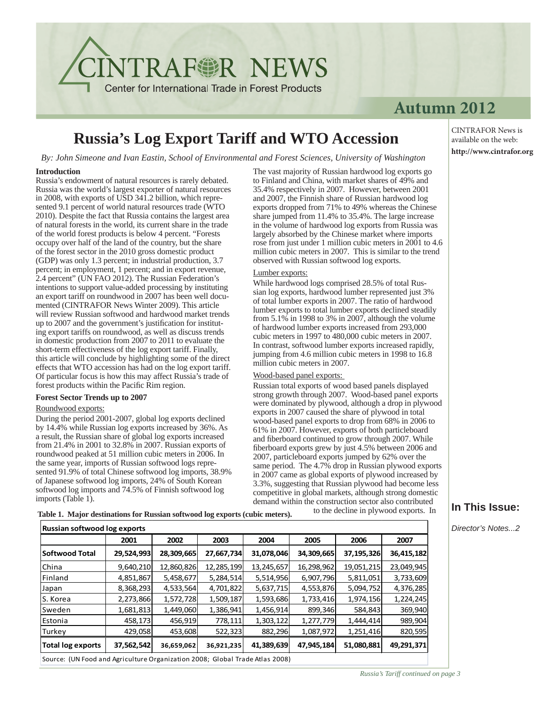**NTRAFSR NEWS** 

**Center for International Trade in Forest Products** 

### **Autumn 2012**

## **Russia's Log Export Tariff and WTO Accession**

*By: John Simeone and Ivan Eastin, School of Environmental and Forest Sciences, University of Washington* 

#### **Introduction**

Russia's endowment of natural resources is rarely debated. Russia was the world's largest exporter of natural resources in 2008, with exports of USD 341.2 billion, which represented 9.1 percent of world natural resources trade (WTO 2010). Despite the fact that Russia contains the largest area of natural forests in the world, its current share in the trade of the world forest products is below 4 percent. "Forests occupy over half of the land of the country, but the share of the forest sector in the 2010 gross domestic product (GDP) was only 1.3 percent; in industrial production, 3.7 percent; in employment, 1 percent; and in export revenue, 2.4 percent" (UN FAO 2012). The Russian Federation's intentions to support value-added processing by instituting an export tariff on roundwood in 2007 has been well documented (CINTRAFOR News Winter 2009). This article will review Russian softwood and hardwood market trends up to 2007 and the government's justification for instituting export tariffs on roundwood, as well as discuss trends in domestic production from 2007 to 2011 to evaluate the short-term effectiveness of the log export tariff. Finally, this article will conclude by highlighting some of the direct effects that WTO accession has had on the log export tariff. Of particular focus is how this may affect Russia's trade of forest products within the Pacific Rim region.

#### **Forest Sector Trends up to 2007**

#### Roundwood exports:

During the period 2001-2007, global log exports declined by 14.4% while Russian log exports increased by 36%. As a result, the Russian share of global log exports increased from 21.4% in 2001 to 32.8% in 2007. Russian exports of roundwood peaked at 51 million cubic meters in 2006. In the same year, imports of Russian softwood logs represented 91.9% of total Chinese softwood log imports, 38.9% of Japanese softwood log imports, 24% of South Korean softwood log imports and 74.5% of Finnish softwood log imports (Table 1).

The vast majority of Russian hardwood log exports go to Finland and China, with market shares of 49% and 35.4% respectively in 2007. However, between 2001 and 2007, the Finnish share of Russian hardwood log exports dropped from 71% to 49% whereas the Chinese share jumped from 11.4% to 35.4%. The large increase in the volume of hardwood log exports from Russia was largely absorbed by the Chinese market where imports rose from just under 1 million cubic meters in 2001 to 4.6 million cubic meters in 2007. This is similar to the trend observed with Russian softwood log exports.

#### Lumber exports:

While hardwood logs comprised 28.5% of total Russian log exports, hardwood lumber represented just 3% of total lumber exports in 2007. The ratio of hardwood lumber exports to total lumber exports declined steadily from  $5.1\%$  in 1998 to 3% in 2007, although the volume of hardwood lumber exports increased from 293,000 cubic meters in 1997 to 480,000 cubic meters in 2007. In contrast, softwood lumber exports increased rapidly, jumping from 4.6 million cubic meters in 1998 to 16.8 million cubic meters in 2007.

#### Wood-based panel exports:

Russian total exports of wood based panels displayed strong growth through 2007. Wood-based panel exports were dominated by plywood, although a drop in plywood exports in 2007 caused the share of plywood in total wood-based panel exports to drop from 68% in 2006 to 61% in 2007. However, exports of both particleboard and fiberboard continued to grow through 2007. While fiberboard exports grew by just 4.5% between 2006 and 2007, particleboard exports jumped by 62% over the same period. The 4.7% drop in Russian plywood exports in 2007 came as global exports of plywood increased by 3.3%, suggesting that Russian plywood had become less competitive in global markets, although strong domestic demand within the construction sector also contributed  **Table 1. Major destinations for Russian softwood log exports (cubic meters).**

to the decline in plywood exports. In

| <b>Russian softwood log exports</b>                                          |            |            |            |            |            |            |            |
|------------------------------------------------------------------------------|------------|------------|------------|------------|------------|------------|------------|
|                                                                              | 2001       | 2002       | 2003       | 2004       | 2005       | 2006       | 2007       |
| <b>Softwood Total</b>                                                        | 29,524,993 | 28,309,665 | 27,667,734 | 31,078,046 | 34,309,665 | 37,195,326 | 36,415,182 |
| China                                                                        | 9,640,210  | 12,860,826 | 12,285,199 | 13,245,657 | 16,298,962 | 19,051,215 | 23,049,945 |
| Finland                                                                      | 4,851,867  | 5,458,677  | 5,284,514  | 5,514,956  | 6,907,796  | 5,811,051  | 3,733,609  |
| Japan                                                                        | 8,368,293  | 4,533,564  | 4,701,822  | 5,637,715  | 4,553,876  | 5,094,752  | 4,376,285  |
| S. Korea                                                                     | 2,273,866  | 1,572,728  | 1,509,187  | 1,593,686  | 1,733,416  | 1,974,156  | 1,224,245  |
| Sweden                                                                       | 1,681,813  | 1,449,060  | 1,386,941  | 1,456,914  | 899,346    | 584,843    | 369,940    |
| Estonia                                                                      | 458,173    | 456,919    | 778,111    | 1,303,122  | 1,277,779  | 1,444,414  | 989,904    |
| Turkey                                                                       | 429,058    | 453,608    | 522,323    | 882,296    | 1,087,972  | 1,251,416  | 820,595    |
| <b>Total log exports</b>                                                     | 37,562,542 | 36,659,062 | 36,921,235 | 41,389,639 | 47,945,184 | 51,080,881 | 49,291,371 |
| Source: (UN Food and Agriculture Organization 2008; Global Trade Atlas 2008) |            |            |            |            |            |            |            |

### **In This Issue:**

*Director's Notes...2*

available on the web: **http://www.cintrafor.org**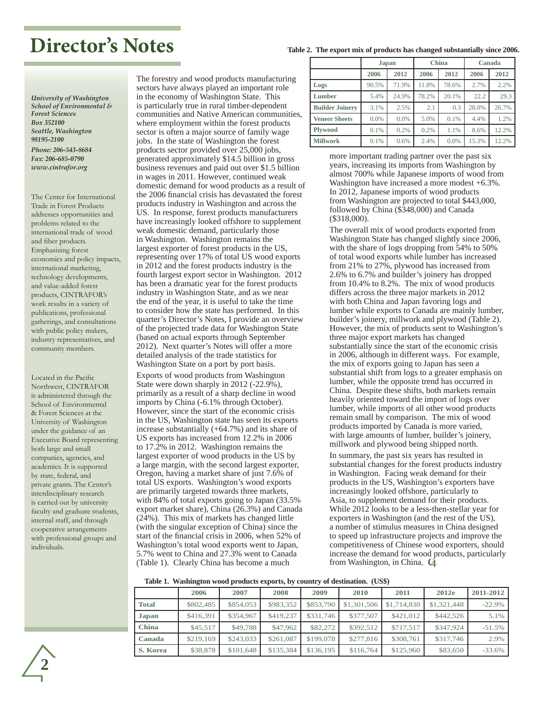## **Director's Notes**

**Table 2. The export mix of products has changed substantially since 2006.** 

*University of Washington School of Environmental & Forest Sciences Box 352100 Seattle, Washington 98195-2100 Phone: 206-543-8684 Fax: 206-685-0790 www.cintrafor.org*

The Center for International Trade in Forest Products addresses opportunities and problems related to the international trade of wood and fiber products. Emphasizing forest economics and policy impacts, international marketing, technology developments, and value-added forest products, CINTRAFOR's work results in a variety of publications, professional gatherings, and consultations with public policy makers, industry representatives, and community members.

Located in the Pacific Northwest, CINTRAFOR is administered through the School of Environmental & Forest Sciences at the University of Washington under the guidance of an Executive Board representing both large and small companies, agencies, and academics. It is supported by state, federal, and private grants. The Center's interdisciplinary research is carried out by university faculty and graduate students, internal staff, and through cooperative arrangements with professional groups and individuals.

The forestry and wood products manufacturing sectors have always played an important role in the economy of Washington State. This is particularly true in rural timber-dependent communities and Native American communities, where employment within the forest products sector is often a major source of family wage jobs. In the state of Washington the forest products sector provided over 25,000 jobs, generated approximately \$14.5 billion in gross business revenues and paid out over \$1.5 billion in wages in 2011. However, continued weak domestic demand for wood products as a result of the 2006 financial crisis has devastated the forest products industry in Washington and across the US. In response, forest products manufacturers have increasingly looked offshore to supplement weak domestic demand, particularly those in Washington. Washington remains the largest exporter of forest products in the US, representing over 17% of total US wood exports in 2012 and the forest products industry is the fourth largest export sector in Washington. 2012 has been a dramatic year for the forest products industry in Washington State, and as we near the end of the year, it is useful to take the time to consider how the state has performed. In this quarter's Director's Notes, I provide an overview of the projected trade data for Washington State (based on actual exports through September 2012). Next quarter's Notes will offer a more detailed analysis of the trade statistics for Washington State on a port by port basis.

Exports of wood products from Washington State were down sharply in 2012 (-22.9%), primarily as a result of a sharp decline in wood imports by China (-6.1% through October). However, since the start of the economic crisis in the US, Washington state has seen its exports increase substantially (+64.7%) and its share of US exports has increased from 12.2% in 2006 to 17.2% in 2012. Washington remains the largest exporter of wood products in the US by a large margin, with the second largest exporter, Oregon, having a market share of just 7.6% of total US exports. Washington's wood exports are primarily targeted towards three markets, with 84% of total exports going to Japan (33.5% export market share), China (26.3%) and Canada (24%). This mix of markets has changed little (with the singular exception of China) since the start of the financial crisis in 2006, when 52% of Washington's total wood exports went to Japan, 5.7% went to China and 27.3% went to Canada (Table 1). Clearly China has become a much

|                        | Japan |       | <b>China</b> |       | Canada |       |
|------------------------|-------|-------|--------------|-------|--------|-------|
|                        | 2006  | 2012  | 2006         | 2012  | 2006   | 2012  |
| Logs                   | 90.5% | 71.9% | 11.8%        | 78.6% | 2.7%   | 2.2%  |
| Lumber                 | 5.4%  | 24.9% | 78.2%        | 20.1% | 22.2   | 29.3  |
| <b>Builder Joinery</b> | 3.1%  | 2.5%  | 2.1          | 0.3   | 28.0%  | 26.7% |
| <b>Veneer Sheets</b>   | 0.0%  | 0.0%  | 5.0%         | 0.1%  | 4.4%   | 1.2%  |
| <b>Plywood</b>         | 0.1%  | 0.2%  | 0.2%         | 1.1%  | 8.6%   | 12.2% |
| <b>Millwork</b>        | 0.1%  | 0.6%  | 2.4%         | 0.0%  | 15.3%  | 12.2% |

more important trading partner over the past six years, increasing its imports from Washington by almost 700% while Japanese imports of wood from Washington have increased a more modest +6.3%. In 2012, Japanese imports of wood products from Washington are projected to total \$443,000, followed by China (\$348,000) and Canada (\$318,000).

The overall mix of wood products exported from Washington State has changed slightly since 2006, with the share of logs dropping from 54% to 50% of total wood exports while lumber has increased from 21% to 27%, plywood has increased from 2.6% to 6.7% and builder's joinery has dropped from 10.4% to 8.2%. The mix of wood products differs across the three major markets in 2012 with both China and Japan favoring logs and lumber while exports to Canada are mainly lumber, builder's joinery, millwork and plywood (Table 2). However, the mix of products sent to Washington's three major export markets has changed substantially since the start of the economic crisis in 2006, although in different ways. For example, the mix of exports going to Japan has seen a substantial shift from logs to a greater emphasis on lumber, while the opposite trend has occurred in China. Despite these shifts, both markets remain heavily oriented toward the import of logs over lumber, while imports of all other wood products remain small by comparison. The mix of wood products imported by Canada is more varied, with large amounts of lumber, builder's joinery, millwork and plywood being shipped north.

In summary, the past six years has resulted in substantial changes for the forest products industry in Washington. Facing weak demand for their products in the US, Washington's exporters have increasingly looked offshore, particularly to Asia, to supplement demand for their products. While 2012 looks to be a less-then-stellar year for exporters in Washington (and the rest of the US), a number of stimulus measures in China designed to speed up infrastructure projects and improve the competitiveness of Chinese wood exporters, should increase the demand for wood products, particularly from Washington, in China.

#### **Table 1. Washington wood products exports, by country of destination. (US\$)**

|              | 2006      | 2007      | 2008      | 2009      | 2010        | 2011        | 2012e       | 2011-2012 |
|--------------|-----------|-----------|-----------|-----------|-------------|-------------|-------------|-----------|
| <b>Total</b> | \$802,485 | \$854,053 | \$983,352 | \$853,790 | \$1,301,506 | \$1,714,830 | \$1,321,448 | $-22.9%$  |
| <b>Japan</b> | \$416,391 | \$354,967 | \$419,237 | \$331,746 | \$377,507   | \$421,012   | \$442,526   | 5.1%      |
| <b>China</b> | \$45,517  | \$49,788  | \$47,962  | \$82,272  | \$392.512   | \$717.517   | \$347,924   | $-51.5%$  |
| Canada       | \$219,169 | \$243,033 | \$261,087 | \$199,078 | \$277,816   | \$308,761   | \$317,746   | 2.9%      |
| S. Korea     | \$38,878  | \$101,648 | \$135,384 | \$136,195 | \$116,764   | \$125,960   | \$83,650    | $-33.6%$  |

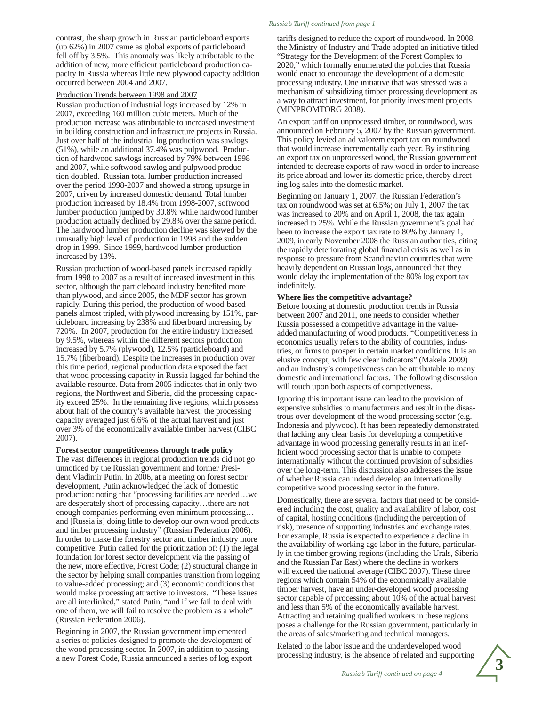contrast, the sharp growth in Russian particleboard exports (up 62%) in 2007 came as global exports of particleboard fell off by 3.5%. This anomaly was likely attributable to the addition of new, more efficient particleboard production capacity in Russia whereas little new plywood capacity addition occurred between 2004 and 2007.

#### Production Trends between 1998 and 2007

Russian production of industrial logs increased by 12% in 2007, exceeding 160 million cubic meters. Much of the production increase was attributable to increased investment in building construction and infrastructure projects in Russia. Just over half of the industrial log production was sawlogs (51%), while an additional 37.4% was pulpwood. Production of hardwood sawlogs increased by 79% between 1998 and 2007, while softwood sawlog and pulpwood production doubled. Russian total lumber production increased over the period 1998-2007 and showed a strong upsurge in 2007, driven by increased domestic demand. Total lumber production increased by 18.4% from 1998-2007, softwood lumber production jumped by 30.8% while hardwood lumber production actually declined by 29.8% over the same period. The hardwood lumber production decline was skewed by the unusually high level of production in 1998 and the sudden drop in 1999. Since 1999, hardwood lumber production increased by 13%.

Russian production of wood-based panels increased rapidly from 1998 to 2007 as a result of increased investment in this sector, although the particleboard industry benefited more than plywood, and since 2005, the MDF sector has grown rapidly. During this period, the production of wood-based panels almost tripled, with plywood increasing by 151%, particleboard increasing by 238% and fiberboard increasing by 720%. In 2007, production for the entire industry increased by 9.5%, whereas within the different sectors production increased by 5.7% (plywood), 12.5% (particleboard) and 15.7% (fiberboard). Despite the increases in production over this time period, regional production data exposed the fact that wood processing capacity in Russia lagged far behind the available resource. Data from 2005 indicates that in only two regions, the Northwest and Siberia, did the processing capacity exceed 25%. In the remaining five regions, which possess about half of the country's available harvest, the processing capacity averaged just 6.6% of the actual harvest and just over 3% of the economically available timber harvest (CIBC 2007).

#### **Forest sector competitiveness through trade policy**

The vast differences in regional production trends did not go unnoticed by the Russian government and former President Vladimir Putin. In 2006, at a meeting on forest sector development, Putin acknowledged the lack of domestic production: noting that "processing facilities are needed…we are desperately short of processing capacity…there are not enough companies performing even minimum processing… and [Russia is] doing little to develop our own wood products and timber processing industry" (Russian Federation 2006). In order to make the forestry sector and timber industry more competitive, Putin called for the prioritization of: (1) the legal foundation for forest sector development via the passing of the new, more effective, Forest Code; (2) structural change in the sector by helping small companies transition from logging to value-added processing; and (3) economic conditions that would make processing attractive to investors. "These issues are all interlinked," stated Putin, "and if we fail to deal with one of them, we will fail to resolve the problem as a whole" (Russian Federation 2006).

Beginning in 2007, the Russian government implemented a series of policies designed to promote the development of the wood processing sector. In 2007, in addition to passing a new Forest Code, Russia announced a series of log export

#### *Russia's Tariff continued from page 1*

tariffs designed to reduce the export of roundwood. In 2008, the Ministry of Industry and Trade adopted an initiative titled "Strategy for the Development of the Forest Complex to 2020," which formally enumerated the policies that Russia would enact to encourage the development of a domestic processing industry. One initiative that was stressed was a mechanism of subsidizing timber processing development as a way to attract investment, for priority investment projects (MINPROMTORG 2008).

An export tariff on unprocessed timber, or roundwood, was announced on February 5, 2007 by the Russian government. This policy levied an ad valorem export tax on roundwood that would increase incrementally each year. By instituting an export tax on unprocessed wood, the Russian government intended to decrease exports of raw wood in order to increase its price abroad and lower its domestic price, thereby directing log sales into the domestic market.

Beginning on January 1, 2007, the Russian Federation's tax on roundwood was set at 6.5%; on July 1, 2007 the tax was increased to 20% and on April 1, 2008, the tax again increased to 25%. While the Russian government's goal had been to increase the export tax rate to 80% by January 1, 2009, in early November 2008 the Russian authorities, citing the rapidly deteriorating global financial crisis as well as in response to pressure from Scandinavian countries that were heavily dependent on Russian logs, announced that they would delay the implementation of the 80% log export tax indefinitely.

#### **Where lies the competitive advantage?**

Before looking at domestic production trends in Russia between 2007 and 2011, one needs to consider whether Russia possessed a competitive advantage in the valueadded manufacturing of wood products. "Competitiveness in economics usually refers to the ability of countries, industries, or firms to prosper in certain market conditions. It is an elusive concept, with few clear indicators" (Makela 2009) and an industry's competiveness can be attributable to many domestic and international factors. The following discussion will touch upon both aspects of competiveness.

Ignoring this important issue can lead to the provision of expensive subsidies to manufacturers and result in the disastrous over-development of the wood processing sector (e.g. Indonesia and plywood). It has been repeatedly demonstrated that lacking any clear basis for developing a competitive advantage in wood processing generally results in an inefficient wood processing sector that is unable to compete internationally without the continued provision of subsidies over the long-term. This discussion also addresses the issue of whether Russia can indeed develop an internationally competitive wood processing sector in the future.

Domestically, there are several factors that need to be considered including the cost, quality and availability of labor, cost of capital, hosting conditions (including the perception of risk), presence of supporting industries and exchange rates. For example, Russia is expected to experience a decline in the availability of working age labor in the future, particularly in the timber growing regions (including the Urals, Siberia and the Russian Far East) where the decline in workers will exceed the national average (CIBC 2007). These three regions which contain 54% of the economically available timber harvest, have an under-developed wood processing sector capable of processing about 10% of the actual harvest and less than 5% of the economically available harvest. Attracting and retaining qualified workers in these regions poses a challenge for the Russian government, particularly in the areas of sales/marketing and technical managers.

Related to the labor issue and the underdeveloped wood processing industry, is the absence of related and supporting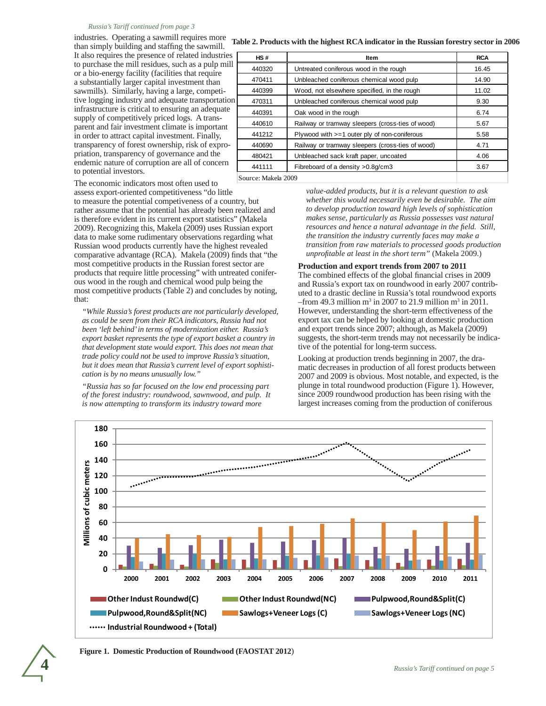#### *Russia's Tariff continued from page 3*

industries. Operating a sawmill requires more than simply building and staffing the sawmill. It also requires the presence of related industries to purchase the mill residues, such as a pulp mill or a bio-energy facility (facilities that require a substantially larger capital investment than sawmills). Similarly, having a large, competitive logging industry and adequate transportation infrastructure is critical to ensuring an adequate supply of competitively priced logs. A transparent and fair investment climate is important in order to attract capital investment. Finally, transparency of forest ownership, risk of expropriation, transparency of governance and the endemic nature of corruption are all of concern to potential investors.

 **Table 2. Products with the highest RCA indicator in the Russian forestry sector in 2006**

| HS#    | <b>Item</b>                                                | <b>RCA</b> |  |  |  |  |
|--------|------------------------------------------------------------|------------|--|--|--|--|
| 440320 | Untreated coniferous wood in the rough                     | 16.45      |  |  |  |  |
| 470411 | Unbleached coniferous chemical wood pulp                   | 14.90      |  |  |  |  |
| 440399 | Wood, not elsewhere specified, in the rough                | 11.02      |  |  |  |  |
| 470311 | Unbleached coniferous chemical wood pulp                   | 9.30       |  |  |  |  |
| 440391 | Oak wood in the rough                                      | 6.74       |  |  |  |  |
| 440610 | Railway or tramway sleepers (cross-ties of wood)           | 5.67       |  |  |  |  |
| 441212 | Plywood with $>=1$ outer ply of non-coniferous             | 5.58       |  |  |  |  |
| 440690 | Railway or tramway sleepers (cross-ties of wood)           | 4.71       |  |  |  |  |
| 480421 | Unbleached sack kraft paper, uncoated                      | 4.06       |  |  |  |  |
| 441111 | 3.67                                                       |            |  |  |  |  |
|        | Fibreboard of a density > 0.8 g/cm3<br>Source: Makela 2009 |            |  |  |  |  |

The economic indicators most often used to

assess export-oriented competitiveness "do little to measure the potential competiveness of a country, but rather assume that the potential has already been realized and is therefore evident in its current export statistics" (Makela 2009). Recognizing this, Makela (2009) uses Russian export data to make some rudimentary observations regarding what Russian wood products currently have the highest revealed comparative advantage (RCA). Makela (2009) finds that "the most competitive products in the Russian forest sector are products that require little processing" with untreated coniferous wood in the rough and chemical wood pulp being the most competitive products (Table 2) and concludes by noting, that:

*"While Russia's forest products are not particularly developed, as could be seen from their RCA indicators, Russia had not been 'left behind' in terms of modernization either. Russia's export basket represents the type of export basket a country in that development state would export. This does not mean that trade policy could not be used to improve Russia's situation, but it does mean that Russia's current level of export sophistication is by no means unusually low."*

*"Russia has so far focused on the low end processing part of the forest industry: roundwood, sawnwood, and pulp. It is now attempting to transform its industry toward more* 

*value-added products, but it is a relevant question to ask whether this would necessarily even be desirable. The aim to develop production toward high levels of sophistication makes sense, particularly as Russia possesses vast natural resources and hence a natural advantage in the field. Still, the transition the industry currently faces may make a transition from raw materials to processed goods production unprofitable at least in the short term"* (Makela 2009.)

#### **Production and export trends from 2007 to 2011**

The combined effects of the global financial crises in 2009 and Russia's export tax on roundwood in early 2007 contributed to a drastic decline in Russia's total roundwood exports  $-$ from 49.3 million m<sup>3</sup> in 2007 to 21.9 million m<sup>3</sup> in 2011. However, understanding the short-term effectiveness of the export tax can be helped by looking at domestic production and export trends since 2007; although, as Makela (2009) suggests, the short-term trends may not necessarily be indicative of the potential for long-term success.

Looking at production trends beginning in 2007, the dramatic decreases in production of all forest products between 2007 and 2009 is obvious. Most notable, and expected, is the plunge in total roundwood production (Figure 1). However, since 2009 roundwood production has been rising with the largest increases coming from the production of coniferous



**Figure 1. Domestic Production of Roundwood (FAOSTAT 2012**)

**4**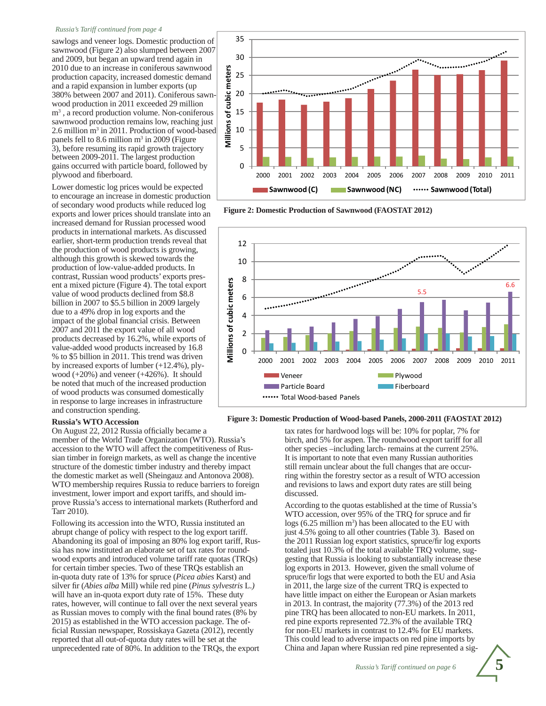#### *Russia's Tariff continued from page 4*

sawlogs and veneer logs. Domestic production of sawnwood (Figure 2) also slumped between 2007 and 2009, but began an upward trend again in 2010 due to an increase in coniferous sawnwood production capacity, increased domestic demand and a rapid expansion in lumber exports (up 380% between 2007 and 2011). Coniferous sawnwood production in 2011 exceeded 29 million m3 , a record production volume. Non-coniferous sawnwood production remains low, reaching just 2.6 million m<sup>3</sup> in 2011. Production of wood-based panels fell to 8.6 million m<sup>3</sup> in 2009 (Figure 3), before resuming its rapid growth trajectory between 2009-2011. The largest production gains occurred with particle board, followed by plywood and fiberboard.

Lower domestic log prices would be expected to encourage an increase in domestic production of secondary wood products while reduced log exports and lower prices should translate into an increased demand for Russian processed wood products in international markets. As discussed earlier, short-term production trends reveal that the production of wood products is growing, although this growth is skewed towards the production of low-value-added products. In contrast, Russian wood products' exports present a mixed picture (Figure 4). The total export value of wood products declined from \$8.8 billion in 2007 to \$5.5 billion in 2009 largely due to a 49% drop in log exports and the impact of the global financial crisis. Between 2007 and 2011 the export value of all wood products decreased by 16.2%, while exports of value-added wood products increased by 16.8 % to \$5 billion in 2011. This trend was driven by increased exports of lumber (+12.4%), plywood (+20%) and veneer (+426%). It should be noted that much of the increased production of wood products was consumed domestically in response to large increases in infrastructure and construction spending.

#### **Russia's WTO Accession**

On August 22, 2012 Russia officially became a

member of the World Trade Organization (WTO). Russia's accession to the WTO will affect the competitiveness of Russian timber in foreign markets, as well as change the incentive structure of the domestic timber industry and thereby impact the domestic market as well (Sheingauz and Antonova 2008). WTO membership requires Russia to reduce barriers to foreign investment, lower import and export tariffs, and should improve Russia's access to international markets (Rutherford and Tarr 2010).

Following its accession into the WTO, Russia instituted an abrupt change of policy with respect to the log export tariff. Abandoning its goal of imposing an 80% log export tariff, Russia has now instituted an elaborate set of tax rates for roundwood exports and introduced volume tariff rate quotas (TRQs) for certain timber species. Two of these TRQs establish an in-quota duty rate of 13% for spruce (*Picea abies* Karst) and silver fir (*Abies alba* Mill) while red pine (*Pinus sylvestris* L.) will have an in-quota export duty rate of 15%. These duty rates, however, will continue to fall over the next several years as Russian moves to comply with the final bound rates (8% by 2015) as established in the WTO accession package. The official Russian newspaper, Rossiskaya Gazeta (2012), recently reported that all out-of-quota duty rates will be set at the unprecedented rate of 80%. In addition to the TRQs, the export



 **Figure 2: Domestic Production of Sawnwood (FAOSTAT 2012)**



 **Figure 3: Domestic Production of Wood-based Panels, 2000-2011 (FAOSTAT 2012)**

tax rates for hardwood logs will be: 10% for poplar, 7% for birch, and 5% for aspen. The roundwood export tariff for all other species –including larch- remains at the current 25%. It is important to note that even many Russian authorities still remain unclear about the full changes that are occurring within the forestry sector as a result of WTO accession and revisions to laws and export duty rates are still being discussed.

According to the quotas established at the time of Russia's WTO accession, over 95% of the TRQ for spruce and fir  $\log s$  (6.25 million m<sup>3</sup>) has been allocated to the EU with just 4.5% going to all other countries (Table 3). Based on the 2011 Russian log export statistics, spruce/fir log exports totaled just 10.3% of the total available TRQ volume, suggesting that Russia is looking to substantially increase these log exports in 2013. However, given the small volume of spruce/fir logs that were exported to both the EU and Asia in 2011, the large size of the current TRQ is expected to have little impact on either the European or Asian markets in 2013. In contrast, the majority (77.3%) of the 2013 red pine TRQ has been allocated to non-EU markets. In 2011, red pine exports represented 72.3% of the available TRQ for non-EU markets in contrast to 12.4% for EU markets. This could lead to adverse impacts on red pine imports by China and Japan where Russian red pine represented a sig-

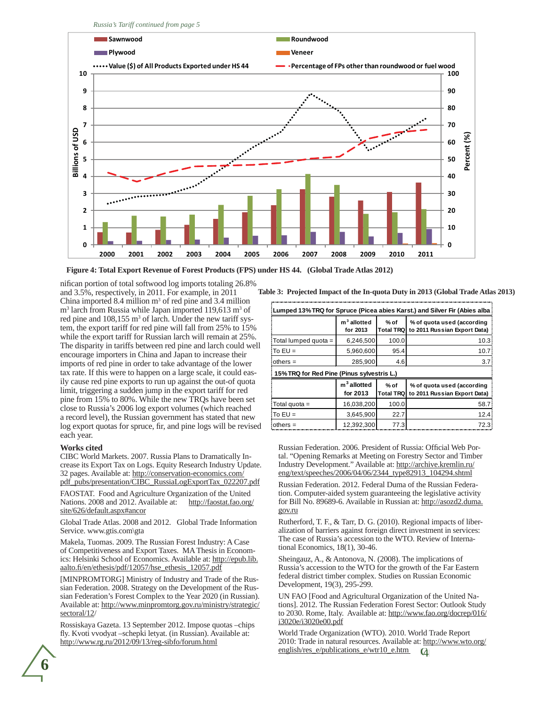*Russia's Tariff continued from page 5*



 **Figure 4: Total Export Revenue of Forest Products (FPS) under HS 44. (Global Trade Atlas 2012)**

nifican portion of total softwood log imports totaling 26.8% and 3.5%, respectively, in 2011. For example, in 2011 China imported 8.4 million  $m<sup>3</sup>$  of red pine and 3.4 million m<sup>3</sup> larch from Russia while Japan imported 119,613 m<sup>3</sup> of red pine and 108,155 m<sup>3</sup> of larch. Under the new tariff system, the export tariff for red pine will fall from 25% to 15% while the export tariff for Russian larch will remain at 25%. The disparity in tariffs between red pine and larch could well encourage importers in China and Japan to increase their imports of red pine in order to take advantage of the lower tax rate. If this were to happen on a large scale, it could easily cause red pine exports to run up against the out-of quota limit, triggering a sudden jump in the export tariff for red pine from 15% to 80%. While the new TRQs have been set close to Russia's 2006 log export volumes (which reached a record level), the Russian government has stated that new log export quotas for spruce, fir, and pine logs will be revised each year.

#### **Works cited**

CIBC World Markets. 2007. Russia Plans to Dramatically Increase its Export Tax on Logs. Equity Research Industry Update. 32 pages. Available at: http://conservation-economics.com/ pdf\_pubs/presentation/CIBC\_RussiaLogExportTax\_022207.pdf

FAOSTAT. Food and Agriculture Organization of the United Nations. 2008 and 2012. Available at: http://faostat.fao.org/ site/626/default.aspx#ancor

Global Trade Atlas. 2008 and 2012. Global Trade Information Service. www.gtis.com\gta

Makela, Tuomas. 2009. The Russian Forest Industry: A Case of Competitiveness and Export Taxes. MA Thesis in Economics: Helsinki School of Economics. Available at: http://epub.lib. aalto.fi/en/ethesis/pdf/12057/hse\_ethesis\_12057.pdf

[MINPROMTORG] Ministry of Industry and Trade of the Russian Federation. 2008. Strategy on the Development of the Russian Federation's Forest Complex to the Year 2020 (in Russian). Available at: http://www.minpromtorg.gov.ru/ministry/strategic/ sectoral/12/

Rossiskaya Gazeta. 13 September 2012. Impose quotas –chips fly. Kvoti vvodyat –schepki letyat. (in Russian). Available at: http://www.rg.ru/2012/09/13/reg-sibfo/forum.html

**Table 3: Projected Impact of the In-quota Duty in 2013 (Global Trade Atlas 2013)** 

| Lumped 13% TRQ for Spruce (Picea abies Karst.) and Silver Fir (Abies alba) |                                     |                            |                                                            |  |  |  |
|----------------------------------------------------------------------------|-------------------------------------|----------------------------|------------------------------------------------------------|--|--|--|
|                                                                            | m <sup>3</sup> allotted<br>for 2013 | % of<br><b>Total TRQ</b>   | % of quota used (according<br>to 2011 Russian Export Data) |  |  |  |
| Total lumped quota =                                                       | 6,246,500                           | 100.0                      | 10.3                                                       |  |  |  |
| $To EU =$                                                                  | 5,960,600                           | 95.4                       | 10.7                                                       |  |  |  |
| fothers $=$                                                                | 285,900                             | 4.6                        | 3.7                                                        |  |  |  |
| 15% TRQ for Red Pine (Pinus sylvestris L.)                                 |                                     |                            |                                                            |  |  |  |
|                                                                            |                                     |                            |                                                            |  |  |  |
|                                                                            | $m3$ allotted<br>for 2013           | $%$ of<br><b>Total TRQ</b> | % of quota used (according<br>to 2011 Russian Export Data) |  |  |  |
| Total quota =                                                              | 16,038,200                          | 100.0                      | 58.7                                                       |  |  |  |
| lTo EU =                                                                   | 3,645,900                           | 22.7                       | 12.4                                                       |  |  |  |

Russian Federation. 2006. President of Russia: Official Web Portal. "Opening Remarks at Meeting on Forestry Sector and Timber Industry Development." Available at: http://archive.kremlin.ru/ eng/text/speeches/2006/04/06/2344\_type82913\_104294.shtml

Russian Federation. 2012. Federal Duma of the Russian Federation. Computer-aided system guaranteeing the legislative activity for Bill No. 89689-6. Available in Russian at: http://asozd2.duma. gov.ru

Rutherford, T. F., & Tarr, D. G. (2010). Regional impacts of liberalization of barriers against foreign direct investment in services: The case of Russia's accession to the WTO. Review of International Economics, 18(1), 30-46.

Sheingauz, A., & Antonova, N. (2008). The implications of Russia's accession to the WTO for the growth of the Far Eastern federal district timber complex. Studies on Russian Economic Development, 19(3), 295-299.

UN FAO [Food and Agricultural Organization of the United Nations]. 2012. The Russian Federation Forest Sector: Outlook Study to 2030. Rome, Italy. Available at: http://www.fao.org/docrep/016/ i3020e/i3020e00.pdf

World Trade Organization (WTO). 2010. World Trade Report 2010: Trade in natural resources. Available at: http://www.wto.org/ english/res\_e/publications\_e/wtr10\_e.htm

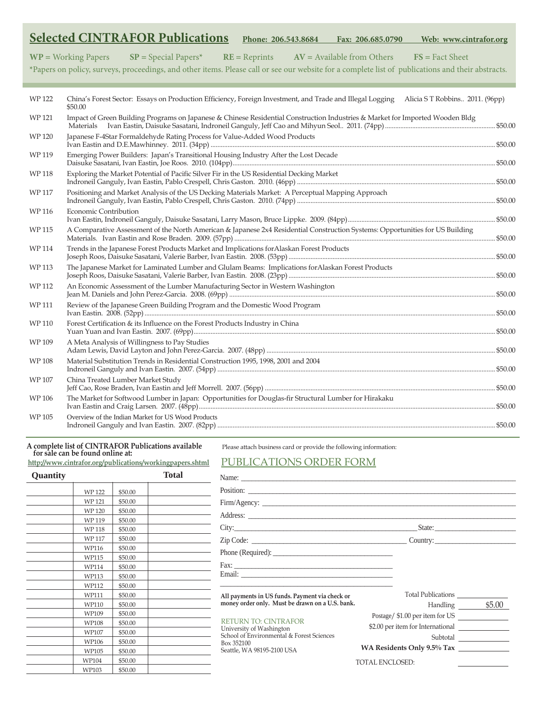|              |                              | <b>Selected CINTRAFOR Publications</b>                                                                                        |                 | Phone: 206.543.8684 | Fax: 206.685.0790            | Web: www.cintrafor.org                                                                                                                            |
|--------------|------------------------------|-------------------------------------------------------------------------------------------------------------------------------|-----------------|---------------------|------------------------------|---------------------------------------------------------------------------------------------------------------------------------------------------|
|              | $WP = Working Papers$        | $SP = Special Papers*$                                                                                                        | $RE = Reprints$ |                     | $AV = Available from Others$ | $FS = Fact Sheet$                                                                                                                                 |
|              |                              |                                                                                                                               |                 |                     |                              | *Papers on policy, surveys, proceedings, and other items. Please call or see our website for a complete list of publications and their abstracts. |
| <b>WP122</b> | \$50.00                      | China's Forest Sector: Essays on Production Efficiency, Foreign Investment, and Trade and Illegal Logging                     |                 |                     |                              | Alicia ST Robbins 2011. (96pp)                                                                                                                    |
| <b>WP121</b> | Materials                    | Impact of Green Building Programs on Japanese & Chinese Residential Construction Industries & Market for Imported Wooden Bldg |                 |                     |                              |                                                                                                                                                   |
| <b>WP120</b> |                              | Japanese F-4Star Formaldehyde Rating Process for Value-Added Wood Products                                                    |                 |                     |                              |                                                                                                                                                   |
| WP 119       |                              | Emerging Power Builders: Japan's Transitional Housing Industry After the Lost Decade                                          |                 |                     |                              |                                                                                                                                                   |
| <b>WP118</b> |                              | Exploring the Market Potential of Pacific Silver Fir in the US Residential Decking Market                                     |                 |                     |                              |                                                                                                                                                   |
| <b>WP117</b> |                              | Positioning and Market Analysis of the US Decking Materials Market: A Perceptual Mapping Approach                             |                 |                     |                              |                                                                                                                                                   |
| <b>WP116</b> | <b>Economic Contribution</b> |                                                                                                                               |                 |                     |                              |                                                                                                                                                   |
| <b>WP115</b> |                              | A Comparative Assessment of the North American & Japanese 2x4 Residential Construction Systems: Opportunities for US Building |                 |                     |                              |                                                                                                                                                   |
| <b>WP114</b> |                              | Trends in the Japanese Forest Products Market and Implications for Alaskan Forest Products                                    |                 |                     |                              |                                                                                                                                                   |
| <b>WP113</b> |                              | The Japanese Market for Laminated Lumber and Glulam Beams: Implications for Alaskan Forest Products                           |                 |                     |                              |                                                                                                                                                   |
| <b>WP112</b> |                              | An Economic Assessment of the Lumber Manufacturing Sector in Western Washington                                               |                 |                     |                              |                                                                                                                                                   |
| WP 111       |                              | Review of the Japanese Green Building Program and the Domestic Wood Program                                                   |                 |                     |                              |                                                                                                                                                   |
| <b>WP110</b> |                              | Forest Certification & its Influence on the Forest Products Industry in China                                                 |                 |                     |                              |                                                                                                                                                   |
| WP 109       |                              | A Meta Analysis of Willingness to Pay Studies                                                                                 |                 |                     |                              |                                                                                                                                                   |
| <b>WP108</b> |                              | Material Substitution Trends in Residential Construction 1995, 1998, 2001 and 2004                                            |                 |                     |                              |                                                                                                                                                   |
| <b>WP107</b> |                              | China Treated Lumber Market Study                                                                                             |                 |                     |                              |                                                                                                                                                   |
| <b>WP106</b> |                              | The Market for Softwood Lumber in Japan: Opportunities for Douglas-fir Structural Lumber for Hirakaku                         |                 |                     |                              |                                                                                                                                                   |
| <b>WP105</b> |                              | Overview of the Indian Market for US Wood Products                                                                            |                 |                     |                              |                                                                                                                                                   |

#### **A complete list of CINTRAFOR Publications available for sale can be found online at:**

**http://www.cintrafor.org/publications/workingpapers.shtml**

Please attach business card or provide the following information:

### PUBLICATIONS ORDER FORM

| <b>Quantity</b> |              |         | <b>Total</b> |                                                                                                                                                                     |                                |  |  |  |
|-----------------|--------------|---------|--------------|---------------------------------------------------------------------------------------------------------------------------------------------------------------------|--------------------------------|--|--|--|
|                 | <b>WP122</b> | \$50.00 |              | Position:                                                                                                                                                           |                                |  |  |  |
|                 | <b>WP121</b> | \$50.00 |              |                                                                                                                                                                     |                                |  |  |  |
|                 | WP 120       | \$50.00 |              |                                                                                                                                                                     |                                |  |  |  |
|                 | WP 119       | \$50.00 |              |                                                                                                                                                                     |                                |  |  |  |
|                 | WP 118       | \$50.00 |              |                                                                                                                                                                     |                                |  |  |  |
|                 | <b>WP117</b> | \$50.00 |              |                                                                                                                                                                     | $\text{Country:}\n$            |  |  |  |
|                 | WP116        | \$50.00 |              |                                                                                                                                                                     |                                |  |  |  |
|                 | WP115        | \$50.00 |              |                                                                                                                                                                     |                                |  |  |  |
|                 | WP114        | \$50.00 |              |                                                                                                                                                                     |                                |  |  |  |
|                 | WP113        | \$50.00 |              |                                                                                                                                                                     |                                |  |  |  |
|                 | WP112        | \$50.00 |              |                                                                                                                                                                     |                                |  |  |  |
|                 | WP111        | \$50.00 |              | All payments in US funds. Payment via check or                                                                                                                      |                                |  |  |  |
|                 | WP110        | \$50.00 |              | money order only. Must be drawn on a U.S. bank.                                                                                                                     | Handling 55.00                 |  |  |  |
|                 | WP109        | \$50.00 |              |                                                                                                                                                                     | Postage/\$1.00 per item for US |  |  |  |
|                 | WP108        | \$50.00 |              | <b>RETURN TO: CINTRAFOR</b><br>\$2.00 per item for International<br>University of Washington<br>School of Environmental & Forest Sciences<br>Subtotal<br>Box 352100 |                                |  |  |  |
|                 | WP107        | \$50.00 |              |                                                                                                                                                                     |                                |  |  |  |
|                 | WP106        | \$50.00 |              |                                                                                                                                                                     |                                |  |  |  |
|                 | WP105        | \$50.00 |              | Seattle, WA 98195-2100 USA                                                                                                                                          | WA Residents Only 9.5% Tax     |  |  |  |
|                 | WP104        | \$50.00 |              |                                                                                                                                                                     | <b>TOTAL ENCLOSED:</b>         |  |  |  |
|                 | WP103        | \$50.00 |              |                                                                                                                                                                     |                                |  |  |  |